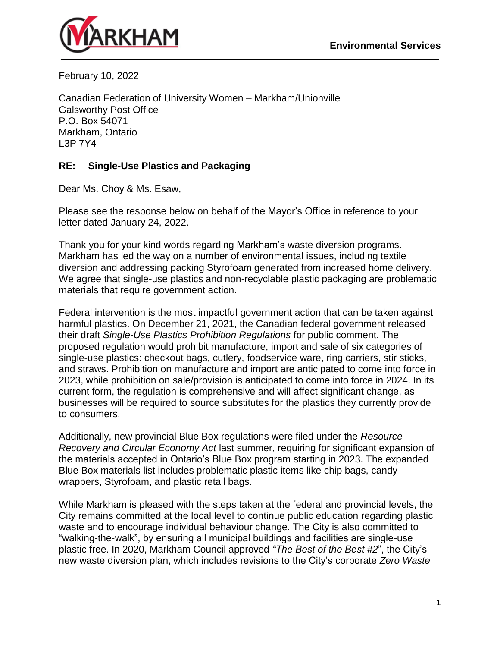

February 10, 2022

Canadian Federation of University Women – Markham/Unionville Galsworthy Post Office P.O. Box 54071 Markham, Ontario L3P 7Y4

## **RE: Single-Use Plastics and Packaging**

Dear Ms. Choy & Ms. Esaw,

Please see the response below on behalf of the Mayor's Office in reference to your letter dated January 24, 2022.

Thank you for your kind words regarding Markham's waste diversion programs. Markham has led the way on a number of environmental issues, including textile diversion and addressing packing Styrofoam generated from increased home delivery. We agree that single-use plastics and non-recyclable plastic packaging are problematic materials that require government action.

Federal intervention is the most impactful government action that can be taken against harmful plastics. On December 21, 2021, the Canadian federal government released their draft *Single-Use Plastics Prohibition Regulations* for public comment. The proposed regulation would prohibit manufacture, import and sale of six categories of single-use plastics: checkout bags, cutlery, foodservice ware, ring carriers, stir sticks, and straws. Prohibition on manufacture and import are anticipated to come into force in 2023, while prohibition on sale/provision is anticipated to come into force in 2024. In its current form, the regulation is comprehensive and will affect significant change, as businesses will be required to source substitutes for the plastics they currently provide to consumers.

Additionally, new provincial Blue Box regulations were filed under the *Resource Recovery and Circular Economy Act* last summer, requiring for significant expansion of the materials accepted in Ontario's Blue Box program starting in 2023. The expanded Blue Box materials list includes problematic plastic items like chip bags, candy wrappers, Styrofoam, and plastic retail bags.

While Markham is pleased with the steps taken at the federal and provincial levels, the City remains committed at the local level to continue public education regarding plastic waste and to encourage individual behaviour change. The City is also committed to "walking-the-walk", by ensuring all municipal buildings and facilities are single-use plastic free. In 2020, Markham Council approved *"The Best of the Best #2*", the City's new waste diversion plan, which includes revisions to the City's corporate *Zero Waste*